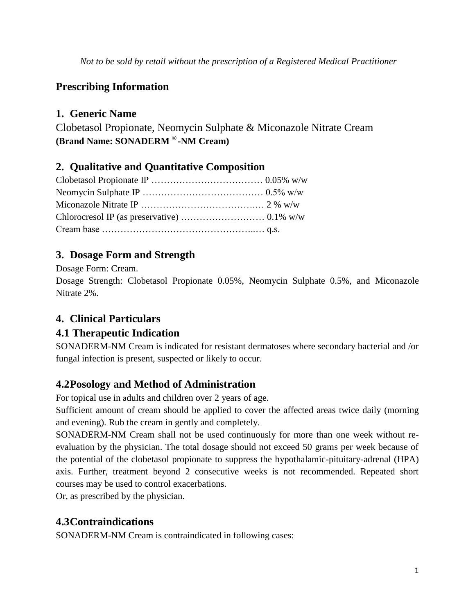*Not to be sold by retail without the prescription of a Registered Medical Practitioner*

# **Prescribing Information**

# **1. Generic Name**

Clobetasol Propionate, Neomycin Sulphate & Miconazole Nitrate Cream **(Brand Name: SONADERM ® -NM Cream)**

## **2. Qualitative and Quantitative Composition**

# **3. Dosage Form and Strength**

Dosage Form: Cream.

Dosage Strength: Clobetasol Propionate 0.05%, Neomycin Sulphate 0.5%, and Miconazole Nitrate 2%.

# **4. Clinical Particulars**

## **4.1 Therapeutic Indication**

SONADERM-NM Cream is indicated for resistant dermatoses where secondary bacterial and /or fungal infection is present, suspected or likely to occur.

# **4.2Posology and Method of Administration**

For topical use in adults and children over 2 years of age.

Sufficient amount of cream should be applied to cover the affected areas twice daily (morning and evening). Rub the cream in gently and completely.

SONADERM-NM Cream shall not be used continuously for more than one week without reevaluation by the physician. The total dosage should not exceed 50 grams per week because of the potential of the clobetasol propionate to suppress the hypothalamic-pituitary-adrenal (HPA) axis. Further, treatment beyond 2 consecutive weeks is not recommended. Repeated short courses may be used to control exacerbations.

Or, as prescribed by the physician.

# **4.3Contraindications**

SONADERM-NM Cream is contraindicated in following cases: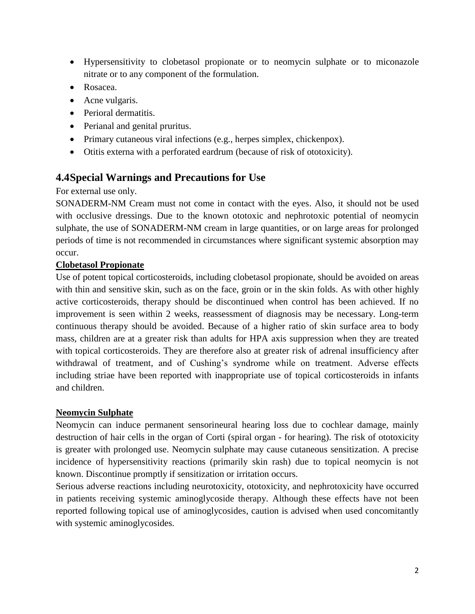- Hypersensitivity to clobetasol propionate or to neomycin sulphate or to miconazole nitrate or to any component of the formulation.
- Rosacea.
- Acne vulgaris.
- Perioral dermatitis.
- Perianal and genital pruritus.
- Primary cutaneous viral infections (e.g., herpes simplex, chickenpox).
- Otitis externa with a perforated eardrum (because of risk of ototoxicity).

### **4.4Special Warnings and Precautions for Use**

For external use only.

SONADERM-NM Cream must not come in contact with the eyes. Also, it should not be used with occlusive dressings. Due to the known ototoxic and nephrotoxic potential of neomycin sulphate, the use of SONADERM-NM cream in large quantities, or on large areas for prolonged periods of time is not recommended in circumstances where significant systemic absorption may occur.

#### **Clobetasol Propionate**

Use of potent topical corticosteroids, including clobetasol propionate, should be avoided on areas with thin and sensitive skin, such as on the face, groin or in the skin folds. As with other highly active corticosteroids, therapy should be discontinued when control has been achieved. If no improvement is seen within 2 weeks, reassessment of diagnosis may be necessary. Long-term continuous therapy should be avoided. Because of a higher ratio of skin surface area to body mass, children are at a greater risk than adults for HPA axis suppression when they are treated with topical corticosteroids. They are therefore also at greater risk of adrenal insufficiency after withdrawal of treatment, and of Cushing's syndrome while on treatment. Adverse effects including striae have been reported with inappropriate use of topical corticosteroids in infants and children.

#### **Neomycin Sulphate**

Neomycin can induce permanent sensorineural hearing loss due to cochlear damage, mainly destruction of hair cells in the organ of Corti (spiral organ - for hearing). The risk of ototoxicity is greater with prolonged use. Neomycin sulphate may cause cutaneous sensitization. A precise incidence of hypersensitivity reactions (primarily skin rash) due to topical neomycin is not known. Discontinue promptly if sensitization or irritation occurs.

Serious adverse reactions including neurotoxicity, ototoxicity, and nephrotoxicity have occurred in patients receiving systemic aminoglycoside therapy. Although these effects have not been reported following topical use of aminoglycosides, caution is advised when used concomitantly with systemic aminoglycosides.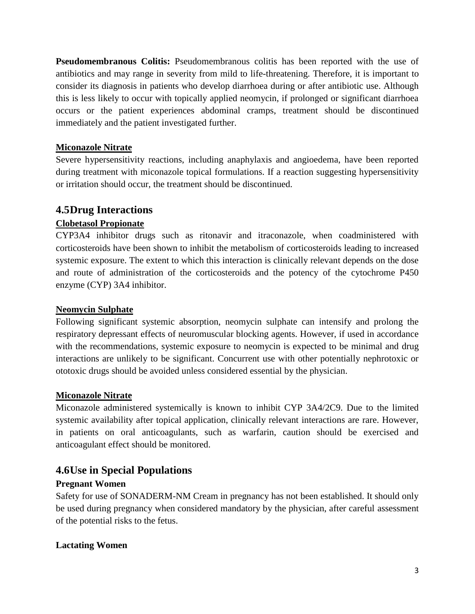**Pseudomembranous Colitis:** Pseudomembranous colitis has been reported with the use of antibiotics and may range in severity from mild to life-threatening. Therefore, it is important to consider its diagnosis in patients who develop diarrhoea during or after antibiotic use. Although this is less likely to occur with topically applied neomycin, if prolonged or significant diarrhoea occurs or the patient experiences abdominal cramps, treatment should be discontinued immediately and the patient investigated further.

#### **Miconazole Nitrate**

Severe hypersensitivity reactions, including anaphylaxis and angioedema, have been reported during treatment with miconazole topical formulations. If a reaction suggesting hypersensitivity or irritation should occur, the treatment should be discontinued.

### **4.5Drug Interactions**

### **Clobetasol Propionate**

CYP3A4 inhibitor drugs such as ritonavir and itraconazole, when coadministered with corticosteroids have been shown to inhibit the metabolism of corticosteroids leading to increased systemic exposure. The extent to which this interaction is clinically relevant depends on the dose and route of administration of the corticosteroids and the potency of the cytochrome P450 enzyme (CYP) 3A4 inhibitor.

#### **Neomycin Sulphate**

Following significant systemic absorption, neomycin sulphate can intensify and prolong the respiratory depressant effects of neuromuscular blocking agents. However, if used in accordance with the recommendations, systemic exposure to neomycin is expected to be minimal and drug interactions are unlikely to be significant. Concurrent use with other potentially nephrotoxic or ototoxic drugs should be avoided unless considered essential by the physician.

#### **Miconazole Nitrate**

Miconazole administered systemically is known to inhibit CYP 3A4/2C9. Due to the limited systemic availability after topical application, clinically relevant interactions are rare. However, in patients on oral anticoagulants, such as warfarin, caution should be exercised and anticoagulant effect should be monitored.

## **4.6Use in Special Populations**

#### **Pregnant Women**

Safety for use of SONADERM-NM Cream in pregnancy has not been established. It should only be used during pregnancy when considered mandatory by the physician, after careful assessment of the potential risks to the fetus.

#### **Lactating Women**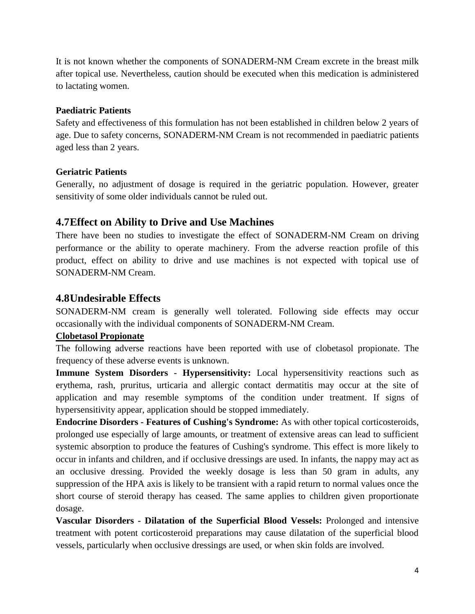It is not known whether the components of SONADERM-NM Cream excrete in the breast milk after topical use. Nevertheless, caution should be executed when this medication is administered to lactating women.

#### **Paediatric Patients**

Safety and effectiveness of this formulation has not been established in children below 2 years of age. Due to safety concerns, SONADERM-NM Cream is not recommended in paediatric patients aged less than 2 years.

### **Geriatric Patients**

Generally, no adjustment of dosage is required in the geriatric population. However, greater sensitivity of some older individuals cannot be ruled out.

## **4.7Effect on Ability to Drive and Use Machines**

There have been no studies to investigate the effect of SONADERM-NM Cream on driving performance or the ability to operate machinery. From the adverse reaction profile of this product, effect on ability to drive and use machines is not expected with topical use of SONADERM-NM Cream.

## **4.8Undesirable Effects**

SONADERM-NM cream is generally well tolerated. Following side effects may occur occasionally with the individual components of SONADERM-NM Cream.

### **Clobetasol Propionate**

The following adverse reactions have been reported with use of clobetasol propionate. The frequency of these adverse events is unknown.

**Immune System Disorders - Hypersensitivity:** Local hypersensitivity reactions such as erythema, rash, pruritus, urticaria and allergic contact dermatitis may occur at the site of application and may resemble symptoms of the condition under treatment. If signs of hypersensitivity appear, application should be stopped immediately.

**Endocrine Disorders - Features of Cushing's Syndrome:** As with other topical corticosteroids, prolonged use especially of large amounts, or treatment of extensive areas can lead to sufficient systemic absorption to produce the features of Cushing's syndrome. This effect is more likely to occur in infants and children, and if occlusive dressings are used. In infants, the nappy may act as an occlusive dressing. Provided the weekly dosage is less than 50 gram in adults, any suppression of the HPA axis is likely to be transient with a rapid return to normal values once the short course of steroid therapy has ceased. The same applies to children given proportionate dosage.

**Vascular Disorders - Dilatation of the Superficial Blood Vessels:** Prolonged and intensive treatment with potent corticosteroid preparations may cause dilatation of the superficial blood vessels, particularly when occlusive dressings are used, or when skin folds are involved.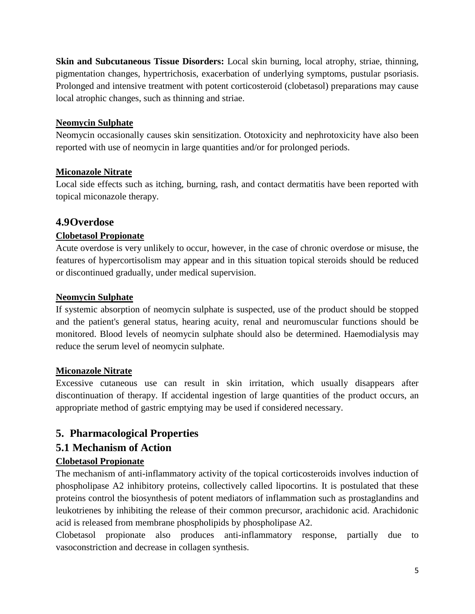**Skin and Subcutaneous Tissue Disorders:** Local skin burning, local atrophy, striae, thinning, pigmentation changes, hypertrichosis, exacerbation of underlying symptoms, pustular psoriasis. Prolonged and intensive treatment with potent corticosteroid (clobetasol) preparations may cause local atrophic changes, such as thinning and striae.

### **Neomycin Sulphate**

Neomycin occasionally causes skin sensitization. Ototoxicity and nephrotoxicity have also been reported with use of neomycin in large quantities and/or for prolonged periods.

### **Miconazole Nitrate**

Local side effects such as itching, burning, rash, and contact dermatitis have been reported with topical miconazole therapy.

### **4.9Overdose**

### **Clobetasol Propionate**

Acute overdose is very unlikely to occur, however, in the case of chronic overdose or misuse, the features of hypercortisolism may appear and in this situation topical steroids should be reduced or discontinued gradually, under medical supervision.

### **Neomycin Sulphate**

If systemic absorption of neomycin sulphate is suspected, use of the product should be stopped and the patient's general status, hearing acuity, renal and neuromuscular functions should be monitored. Blood levels of neomycin sulphate should also be determined. Haemodialysis may reduce the serum level of neomycin sulphate.

### **Miconazole Nitrate**

Excessive cutaneous use can result in skin irritation, which usually disappears after discontinuation of therapy. If accidental ingestion of large quantities of the product occurs, an appropriate method of gastric emptying may be used if considered necessary.

## **5. Pharmacological Properties**

## **5.1 Mechanism of Action**

### **Clobetasol Propionate**

The mechanism of anti-inflammatory activity of the topical corticosteroids involves induction of phospholipase A2 inhibitory proteins, collectively called lipocortins. It is postulated that these proteins control the biosynthesis of potent mediators of inflammation such as prostaglandins and leukotrienes by inhibiting the release of their common precursor, arachidonic acid. Arachidonic acid is released from membrane phospholipids by phospholipase A2.

Clobetasol propionate also produces anti-inflammatory response, partially due to vasoconstriction and decrease in collagen synthesis.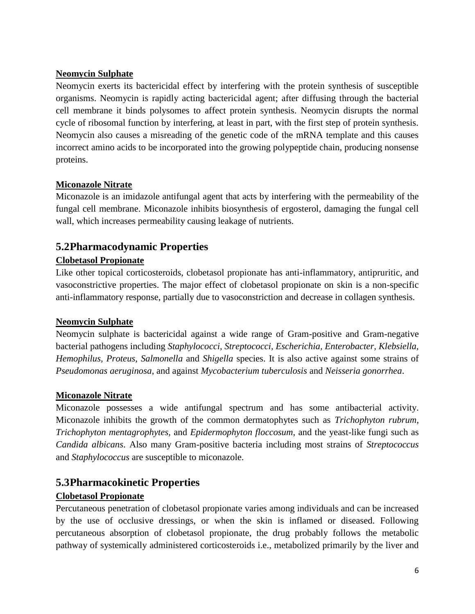### **Neomycin Sulphate**

Neomycin exerts its bactericidal effect by interfering with the protein synthesis of susceptible organisms. Neomycin is rapidly acting bactericidal agent; after diffusing through the bacterial cell membrane it binds polysomes to affect protein synthesis. Neomycin disrupts the normal cycle of ribosomal function by interfering, at least in part, with the first step of protein synthesis. Neomycin also causes a misreading of the genetic code of the mRNA template and this causes incorrect amino acids to be incorporated into the growing polypeptide chain, producing nonsense proteins.

#### **Miconazole Nitrate**

Miconazole is an imidazole antifungal agent that acts by interfering with the permeability of the fungal cell membrane. Miconazole inhibits biosynthesis of ergosterol, damaging the fungal cell wall, which increases permeability causing leakage of nutrients.

## **5.2Pharmacodynamic Properties**

### **Clobetasol Propionate**

Like other topical corticosteroids, clobetasol propionate has anti-inflammatory, antipruritic, and vasoconstrictive properties. The major effect of clobetasol propionate on skin is a non-specific anti-inflammatory response, partially due to vasoconstriction and decrease in collagen synthesis.

#### **Neomycin Sulphate**

Neomycin sulphate is bactericidal against a wide range of Gram-positive and Gram-negative bacterial pathogens including *Staphylococci, Streptococci, Escherichia, Enterobacter, Klebsiella, Hemophilus, Proteus, Salmonella* and *Shigella* species. It is also active against some strains of *Pseudomonas aeruginosa*, and against *Mycobacterium tuberculosis* and *Neisseria gonorrhea*.

### **Miconazole Nitrate**

Miconazole possesses a wide antifungal spectrum and has some antibacterial activity. Miconazole inhibits the growth of the common dermatophytes such as *Trichophyton rubrum, Trichophyton mentagrophytes,* and *Epidermophyton floccosum*, and the yeast-like fungi such as *Candida albicans*. Also many Gram-positive bacteria including most strains of *Streptococcus* and *Staphylococcus* are susceptible to miconazole.

## **5.3Pharmacokinetic Properties**

### **Clobetasol Propionate**

Percutaneous penetration of clobetasol propionate varies among individuals and can be increased by the use of occlusive dressings, or when the skin is inflamed or diseased. Following percutaneous absorption of clobetasol propionate, the drug probably follows the metabolic pathway of systemically administered corticosteroids i.e., metabolized primarily by the liver and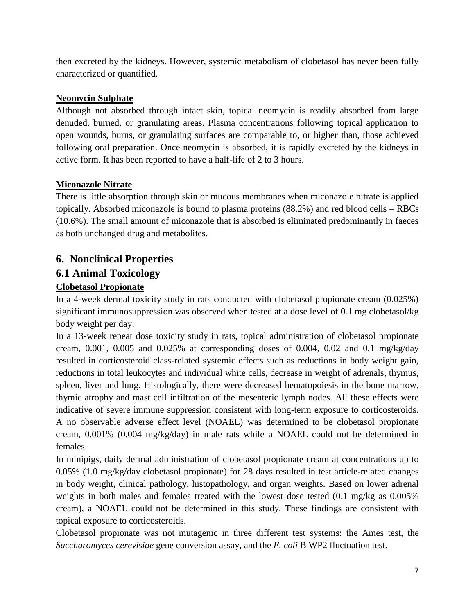then excreted by the kidneys. However, systemic metabolism of clobetasol has never been fully characterized or quantified.

### **Neomycin Sulphate**

Although not absorbed through intact skin, topical neomycin is readily absorbed from large denuded, burned, or granulating areas. Plasma concentrations following topical application to open wounds, burns, or granulating surfaces are comparable to, or higher than, those achieved following oral preparation. Once neomycin is absorbed, it is rapidly excreted by the kidneys in active form. It has been reported to have a half-life of 2 to 3 hours.

### **Miconazole Nitrate**

There is little absorption through skin or mucous membranes when miconazole nitrate is applied topically. Absorbed miconazole is bound to plasma proteins (88.2%) and red blood cells – RBCs (10.6%). The small amount of miconazole that is absorbed is eliminated predominantly in faeces as both unchanged drug and metabolites.

## **6. Nonclinical Properties**

## **6.1 Animal Toxicology**

### **Clobetasol Propionate**

In a 4-week dermal toxicity study in rats conducted with clobetasol propionate cream (0.025%) significant immunosuppression was observed when tested at a dose level of 0.1 mg clobetasol/kg body weight per day.

In a 13-week repeat dose toxicity study in rats, topical administration of clobetasol propionate cream,  $0.001$ ,  $0.005$  and  $0.025\%$  at corresponding doses of  $0.004$ ,  $0.02$  and  $0.1$  mg/kg/day resulted in corticosteroid class-related systemic effects such as reductions in body weight gain, reductions in total leukocytes and individual white cells, decrease in weight of adrenals, thymus, spleen, liver and lung. Histologically, there were decreased hematopoiesis in the bone marrow, thymic atrophy and mast cell infiltration of the mesenteric lymph nodes. All these effects were indicative of severe immune suppression consistent with long-term exposure to corticosteroids. A no observable adverse effect level (NOAEL) was determined to be clobetasol propionate cream, 0.001% (0.004 mg/kg/day) in male rats while a NOAEL could not be determined in females.

In minipigs, daily dermal administration of clobetasol propionate cream at concentrations up to 0.05% (1.0 mg/kg/day clobetasol propionate) for 28 days resulted in test article-related changes in body weight, clinical pathology, histopathology, and organ weights. Based on lower adrenal weights in both males and females treated with the lowest dose tested (0.1 mg/kg as 0.005% cream), a NOAEL could not be determined in this study. These findings are consistent with topical exposure to corticosteroids.

Clobetasol propionate was not mutagenic in three different test systems: the Ames test, the *Saccharomyces cerevisiae* gene conversion assay, and the *E. coli* B WP2 fluctuation test.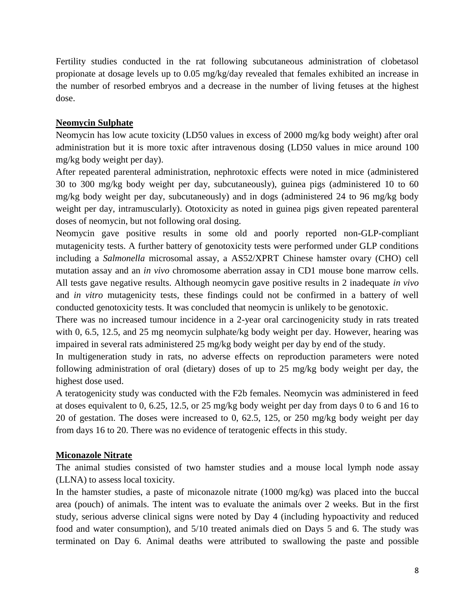Fertility studies conducted in the rat following subcutaneous administration of clobetasol propionate at dosage levels up to 0.05 mg/kg/day revealed that females exhibited an increase in the number of resorbed embryos and a decrease in the number of living fetuses at the highest dose.

#### **Neomycin Sulphate**

Neomycin has low acute toxicity (LD50 values in excess of 2000 mg/kg body weight) after oral administration but it is more toxic after intravenous dosing (LD50 values in mice around 100 mg/kg body weight per day).

After repeated parenteral administration, nephrotoxic effects were noted in mice (administered 30 to 300 mg/kg body weight per day, subcutaneously), guinea pigs (administered 10 to 60 mg/kg body weight per day, subcutaneously) and in dogs (administered 24 to 96 mg/kg body weight per day, intramuscularly). Ototoxicity as noted in guinea pigs given repeated parenteral doses of neomycin, but not following oral dosing.

Neomycin gave positive results in some old and poorly reported non-GLP-compliant mutagenicity tests. A further battery of genotoxicity tests were performed under GLP conditions including a *Salmonella* microsomal assay, a AS52/XPRT Chinese hamster ovary (CHO) cell mutation assay and an *in vivo* chromosome aberration assay in CD1 mouse bone marrow cells. All tests gave negative results. Although neomycin gave positive results in 2 inadequate *in vivo* and *in vitro* mutagenicity tests, these findings could not be confirmed in a battery of well conducted genotoxicity tests. It was concluded that neomycin is unlikely to be genotoxic.

There was no increased tumour incidence in a 2-year oral carcinogenicity study in rats treated with 0, 6.5, 12.5, and 25 mg neomycin sulphate/kg body weight per day. However, hearing was impaired in several rats administered 25 mg/kg body weight per day by end of the study.

In multigeneration study in rats, no adverse effects on reproduction parameters were noted following administration of oral (dietary) doses of up to 25 mg/kg body weight per day, the highest dose used.

A teratogenicity study was conducted with the F2b females. Neomycin was administered in feed at doses equivalent to 0, 6.25, 12.5, or 25 mg/kg body weight per day from days 0 to 6 and 16 to 20 of gestation. The doses were increased to 0, 62.5, 125, or 250 mg/kg body weight per day from days 16 to 20. There was no evidence of teratogenic effects in this study.

#### **Miconazole Nitrate**

The animal studies consisted of two hamster studies and a mouse local lymph node assay (LLNA) to assess local toxicity.

In the hamster studies, a paste of miconazole nitrate (1000 mg/kg) was placed into the buccal area (pouch) of animals. The intent was to evaluate the animals over 2 weeks. But in the first study, serious adverse clinical signs were noted by Day 4 (including hypoactivity and reduced food and water consumption), and 5/10 treated animals died on Days 5 and 6. The study was terminated on Day 6. Animal deaths were attributed to swallowing the paste and possible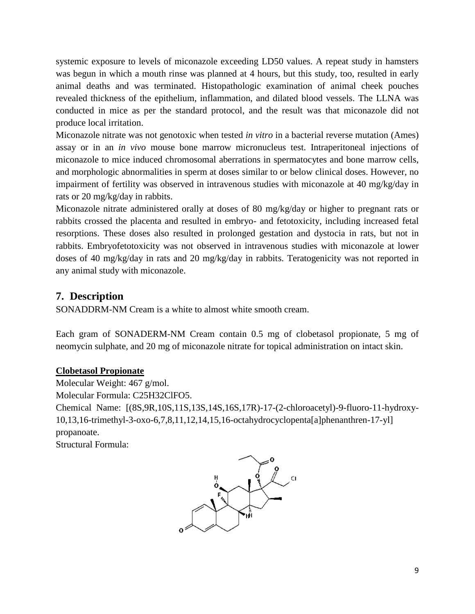systemic exposure to levels of miconazole exceeding LD50 values. A repeat study in hamsters was begun in which a mouth rinse was planned at 4 hours, but this study, too, resulted in early animal deaths and was terminated. Histopathologic examination of animal cheek pouches revealed thickness of the epithelium, inflammation, and dilated blood vessels. The LLNA was conducted in mice as per the standard protocol, and the result was that miconazole did not produce local irritation.

Miconazole nitrate was not genotoxic when tested *in vitro* in a bacterial reverse mutation (Ames) assay or in an *in vivo* mouse bone marrow micronucleus test. Intraperitoneal injections of miconazole to mice induced chromosomal aberrations in spermatocytes and bone marrow cells, and morphologic abnormalities in sperm at doses similar to or below clinical doses. However, no impairment of fertility was observed in intravenous studies with miconazole at 40 mg/kg/day in rats or 20 mg/kg/day in rabbits.

Miconazole nitrate administered orally at doses of 80 mg/kg/day or higher to pregnant rats or rabbits crossed the placenta and resulted in embryo- and fetotoxicity, including increased fetal resorptions. These doses also resulted in prolonged gestation and dystocia in rats, but not in rabbits. Embryofetotoxicity was not observed in intravenous studies with miconazole at lower doses of 40 mg/kg/day in rats and 20 mg/kg/day in rabbits. Teratogenicity was not reported in any animal study with miconazole.

## **7. Description**

SONADDRM-NM Cream is a white to almost white smooth cream.

Each gram of SONADERM-NM Cream contain 0.5 mg of clobetasol propionate, 5 mg of neomycin sulphate, and 20 mg of miconazole nitrate for topical administration on intact skin.

### **Clobetasol Propionate**

Molecular Weight: 467 g/mol.

Molecular Formula: C25H32ClFO5.

Chemical Name: [(8S,9R,10S,11S,13S,14S,16S,17R)-17-(2-chloroacetyl)-9-fluoro-11-hydroxy-10,13,16-trimethyl-3-oxo-6,7,8,11,12,14,15,16-octahydrocyclopenta[a]phenanthren-17-yl] propanoate.

Structural Formula:

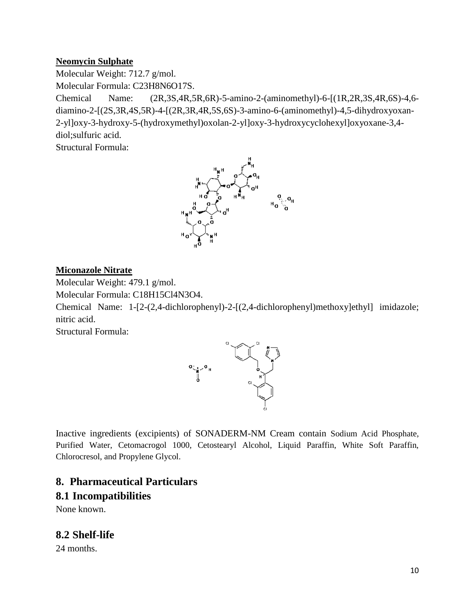#### **Neomycin Sulphate**

Molecular Weight: 712.7 g/mol.

Molecular Formula: C23H8N6O17S.

Chemical Name: (2R,3S,4R,5R,6R)-5-amino-2-(aminomethyl)-6-[(1R,2R,3S,4R,6S)-4,6 diamino-2-[(2S,3R,4S,5R)-4-[(2R,3R,4R,5S,6S)-3-amino-6-(aminomethyl)-4,5-dihydroxyoxan-2-yl]oxy-3-hydroxy-5-(hydroxymethyl)oxolan-2-yl]oxy-3-hydroxycyclohexyl]oxyoxane-3,4 diol;sulfuric acid.

Structural Formula:



#### **Miconazole Nitrate**

Molecular Weight: 479.1 g/mol.

Molecular Formula: C18H15Cl4N3O4.

Chemical Name: 1-[2-(2,4-dichlorophenyl)-2-[(2,4-dichlorophenyl)methoxy]ethyl] imidazole; nitric acid.

Structural Formula:



Inactive ingredients (excipients) of SONADERM-NM Cream contain Sodium Acid Phosphate, Purified Water, Cetomacrogol 1000, Cetostearyl Alcohol, Liquid Paraffin, White Soft Paraffin, Chlorocresol, and Propylene Glycol.

## **8. Pharmaceutical Particulars 8.1 Incompatibilities**

None known.

**8.2 Shelf-life**

24 months.